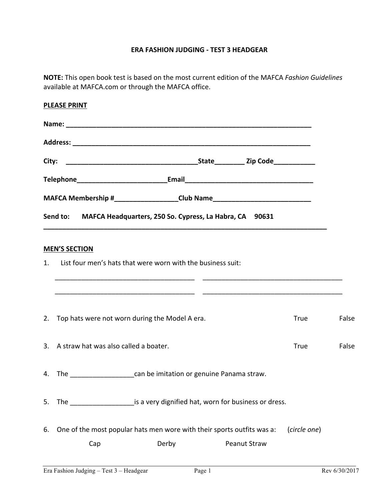## **ERA FASHION JUDGING - TEST 3 HEADGEAR**

NOTE: This open book test is based on the most current edition of the MAFCA *Fashion Guidelines* available at MAFCA.com or through the MAFCA office.

|    | <b>PLEASE PRINT</b>                      |                                                                                  |                     |              |       |
|----|------------------------------------------|----------------------------------------------------------------------------------|---------------------|--------------|-------|
|    |                                          |                                                                                  |                     |              |       |
|    |                                          |                                                                                  |                     |              |       |
|    |                                          |                                                                                  |                     |              |       |
|    |                                          |                                                                                  |                     |              |       |
|    |                                          | MAFCA Membership #____________________Club Name_________________________________ |                     |              |       |
|    |                                          | Send to: MAFCA Headquarters, 250 So. Cypress, La Habra, CA 90631                 |                     |              |       |
|    |                                          |                                                                                  |                     |              |       |
| 1. | <b>MEN'S SECTION</b>                     | List four men's hats that were worn with the business suit:                      |                     |              |       |
|    |                                          |                                                                                  |                     |              |       |
|    |                                          |                                                                                  |                     |              |       |
|    |                                          | 2. Top hats were not worn during the Model A era.                                |                     | True         | False |
|    | 3. A straw hat was also called a boater. |                                                                                  |                     | True         | False |
| 4. |                                          | The can be imitation or genuine Panama straw.                                    |                     |              |       |
| 5. |                                          | The same is a very dignified hat, worn for business or dress.                    |                     |              |       |
| 6. |                                          | One of the most popular hats men wore with their sports outfits was a:           |                     | (circle one) |       |
|    | Cap                                      | Derby                                                                            | <b>Peanut Straw</b> |              |       |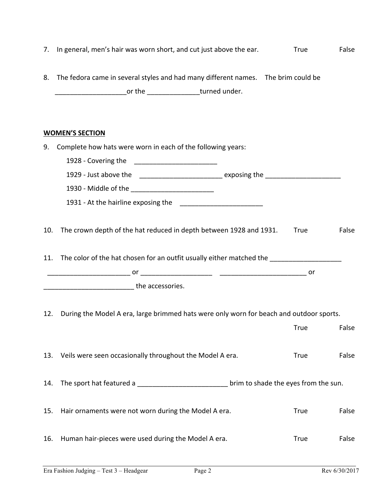|  | 7. In general, men's hair was worn short, and cut just above the ear. |  | True | False |
|--|-----------------------------------------------------------------------|--|------|-------|

|     | 8. The fedora came in several styles and had many different names. The brim could be            |      |       |  |
|-----|-------------------------------------------------------------------------------------------------|------|-------|--|
|     | ______________________________or the _______________________turned under.                       |      |       |  |
|     |                                                                                                 |      |       |  |
|     | <b>WOMEN'S SECTION</b>                                                                          |      |       |  |
| 9.  | Complete how hats were worn in each of the following years:                                     |      |       |  |
|     |                                                                                                 |      |       |  |
|     | 1929 - Just above the _____________________________ exposing the _______________                |      |       |  |
|     | 1930 - Middle of the ____________________________                                               |      |       |  |
|     |                                                                                                 |      |       |  |
| 10. | The crown depth of the hat reduced in depth between 1928 and 1931.                              | True | False |  |
| 11. | The color of the hat chosen for an outfit usually either matched the __________________         |      |       |  |
|     |                                                                                                 |      |       |  |
|     | ___________________________________the accessories.                                             |      |       |  |
| 12. | During the Model A era, large brimmed hats were only worn for beach and outdoor sports.         |      |       |  |
|     |                                                                                                 | True | False |  |
|     | 13. Veils were seen occasionally throughout the Model A era.                                    | True | False |  |
| 14. | The sport hat featured a _________________________________ brim to shade the eyes from the sun. |      |       |  |
| 15. | Hair ornaments were not worn during the Model A era.                                            | True | False |  |
| 16. | Human hair-pieces were used during the Model A era.                                             | True | False |  |